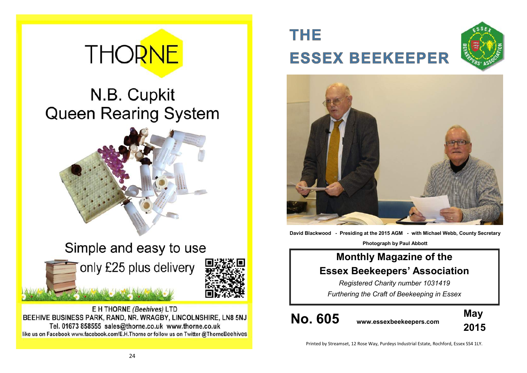# **THORNE**

### N.B. Cupkit **Queen Rearing System**



Simple and easy to use only £25 plus delivery



## **THE ESSEX BEEKEEPER**





**David Blackwood - Presiding at the 2015 AGM - with Michael Webb, County Secretary**

**Photograph by Paul Abbott**

### **Monthly Magazine of the Essex Beekeepers' Association**

*Registered Charity number 1031419 Furthering the Craft of Beekeeping in Essex*

**No. 605 www.essexbeekeepers.com**



Printed by Streamset, 12 Rose Way, Purdeys Industrial Estate, Rochford, Essex SS4 1LY.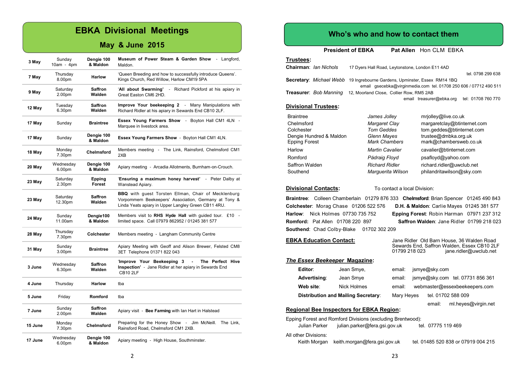#### **EBKA Divisional Meetings**

#### **May & June 2015**

| 3 May   | Sunday<br>$10am - 4pm$         | Dengie 100<br>& Maldon   | Museum of Power Steam & Garden Show<br>- Langford,<br>Maldon.                                                                                                              |  |  |
|---------|--------------------------------|--------------------------|----------------------------------------------------------------------------------------------------------------------------------------------------------------------------|--|--|
| 7 May   | Thursday<br>8.00pm             | <b>Harlow</b>            | 'Queen Breeding and how to successfully introduce Queens'.<br>Kings Church, Red Willow, Harlow CM19 5PA                                                                    |  |  |
| 9 May   | Saturday<br>2.00 <sub>pm</sub> | <b>Saffron</b><br>Walden | 'All about Swarming'<br>- Richard Pickford at his apiary in<br>Great Easton CM6 2HD.                                                                                       |  |  |
| 12 May  | Tuesday<br>6.30pm              | <b>Saffron</b><br>Walden | Improve Your beekeeping 2<br>Many Manipulations with<br>$\sim$ $-$<br>Richard Ridler at his apiary in Sewards End CB10 2LF.                                                |  |  |
| 17 May  | Sunday                         | <b>Braintree</b>         | <b>Essex Young Farmers Show</b><br>Boyton Hall CM1 4LN -<br>$\sim$<br>Marquee in livestock area.                                                                           |  |  |
| 17 May  | Sunday                         | Dengie 100<br>& Maldon   | Essex Young Farmers Show - Boyton Hall CM1 4LN.                                                                                                                            |  |  |
| 18 May  | Monday<br>7.30pm               | Chelmsford               | Members meeting - The Link, Rainsford, Chelmsford CM1<br>2XB                                                                                                               |  |  |
| 20 May  | Wednesday<br>6.00pm            | Dengie 100<br>& Maldon   | Apiary meeting - Arcadia Allotments, Burnham-on-Crouch.                                                                                                                    |  |  |
| 23 May  | Saturday<br>2.30pm             | Epping<br><b>Forest</b>  | 'Ensuring a maximum honey harvest' - Peter Dalby at<br>Wanstead Apiary.                                                                                                    |  |  |
| 23 May  | Saturday<br>12.30pm            | <b>Saffron</b><br>Walden | <b>BBQ</b> with guest Torsten Ellman, Chair of Mecklenburg<br>Vorpommern Beekeepers' Association, Germany at Tony &<br>Linda Yeats apiary in Upper Langley Green CB11 4RU. |  |  |
| 24 May  | Sunday<br>11.00am              | Dengie100<br>& Maldon    | Members visit to RHS Hyde Hall with guided tour. £10 -<br>limited space. Call 07979 862952 / 01245 381 577                                                                 |  |  |
| 28 May  | Thursday<br>7.30pm             | Colchester               | Members meeting - Langham Community Centre                                                                                                                                 |  |  |
| 31 May  | Sunday<br>3.00pm               | <b>Braintree</b>         | Apiary Meeting with Geoff and Alison Brewer, Felsted CM8<br>3ET Telephone 01371 822 043                                                                                    |  |  |
| 3 June  | Wednesday<br>6.30pm            | Saffron<br>Walden        | The Perfect Hive<br>'Improve Your Beekeeping 3<br>Inspection' - Jane Ridler at her apiary in Sewards End<br><b>CB10 2LF</b>                                                |  |  |
| 4 June  | Thursday                       | <b>Harlow</b>            | tba                                                                                                                                                                        |  |  |
| 5 June  | Friday                         | Romford                  | tba                                                                                                                                                                        |  |  |
| 7 June  | Sunday<br>2.00pm               | <b>Saffron</b><br>Walden | Apiary visit - Bee Farming with lan Hart in Halstead                                                                                                                       |  |  |
| 15 June | Monday<br>7.30pm               | Chelmsford               | Jim McNeill.<br>The Link.<br>Preparing for the Honey Show -<br>Rainsford Road, Chelmsford CM1 2XB.                                                                         |  |  |
| 17 June | Wednesday<br>6.00pm            | Dengie 100<br>& Maldon   | Apiary meeting - High House, Southminster.                                                                                                                                 |  |  |

#### **Who's who and how to contact them**

**President of EBKA** Pat Allen Hon CLM EBKA

#### **Trustees: Chairman**: *Ian Nichols* 17 Dyers Hall Road, Leytonstone, London E11 4AD tel. 0798 299 638 **Secretary**: *Michael Webb* 19 Ingrebourne Gardens, Upminster, Essex RM14 1BQ email gsecebka@virginmedia.com tel. 01708 250 606 / 07712 490 511 **Treasurer**: *Bob Manning* 12, Moorland Close, Collier Row, RM5 2AB email treasurer@ebka.org tel: 01708 760 770 **Divisional Trustees:** Braintree *James Jolley* mrjolley@live.co.uk Chelmsford *Margaret Clay* margaretclay@btinternet.com Colchester *Tom Geddes* tom.geddes@btinternet.com Dengie Hundred & Maldon *Glenn Mayes* trustee@dmbka.org.uk mark@chambersweb.co.uk Harlow *Martin Cavalier* cavalier@btinternet.com Romford *Pádraig Floyd* psafloyd@yahoo.com Saffron Walden *Richard Ridler* richard.ridler@uwclub.net Southend *Marguerita Wilson* philandritawilson@sky.com

**Divisional Contacts:** To contact a local Division:

**Braintree**: Colleen Chamberlain 01279 876 333 **Chelmsford**: Brian Spencer 01245 490 843 **Colchester**: Morag Chase 01206 522 576 **D.H. & Maldon**: Carlie Mayes 01245 381 577 **Harlow**: Nick Holmes 07730 735 752 **Epping Forest**: Robin Harman 07971 237 312 **Romford:** Pat Allen 01708 220 897 **Saffron Walden**: Jane Ridler 01799 218 023 **Southend**: Chad Colby-Blake 01702 302 209

#### **EBKA Education Contact:** Jane Ridler Old Barn House, 36 Walden Road

Sewards End, Saffron Walden, Essex CB10 2LF jane.ridler@uwclub.net *The Essex Beekeeper* **Magazine: Editor:** Jean Smye, email: jsmye@sky.com **Advertising**: Jean Smye email: jsmye@sky.com tel. 07731 856 361 Web site: Nick Holmes email: webmaster@essexbeekeepers.com **Distribution and Mailing Secretary:** Mary Heyes tel. 01702 588 009 email: ml.heyes@virgin.net

#### **Regional Bee Inspectors for EBKA Region:**

| Epping Forest and Romford Divisions (excluding Brentwood): |                                           |                                     |  |  |  |
|------------------------------------------------------------|-------------------------------------------|-------------------------------------|--|--|--|
| Julian Parker                                              | julian.parker@fera.gsi.gov.uk             | tel. 07775 119 469                  |  |  |  |
| All other Divisions:                                       |                                           |                                     |  |  |  |
|                                                            | Keith Morgan keith morgan@fera.gsi.gov.uk | tel. 01485 520 838 or 07919 004 215 |  |  |  |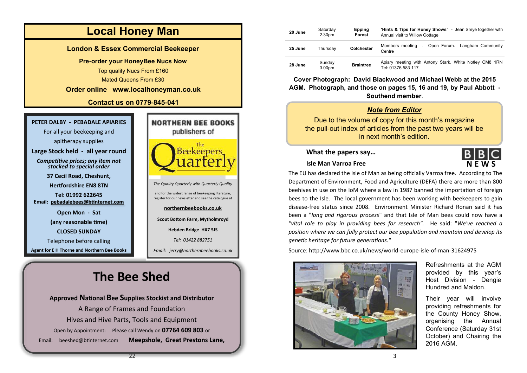

### Host Division - Dengie Hundred and Maldon. Their year will involve

**'Hints & Tips for Honey Shows'** - Jean Smye together with

3.00pm **Braintree** Apiary meeting with Antony Stark, White Notley CM8 1RN

providing refreshments for the County Honey Show, organising the Annual Conference (Saturday 31st October) and Chairing the 2016 AGM.

Refreshments at the AGM provided by this year's

**N E W S**

**BIBIC** 

*Note from Editor*

**Southend member**.

Tel: 01376 583 117

Centre

Annual visit to Willow Cottage

**Epping Forest**

in next month's edition.

Hives and Hive Parts, Tools and Equipment Open by Appointment: Please call Wendy on **07764 609 803** or Email: [beeshed@btinternet.com](mailto:beeshed@btinternet.com) **Meepshole, Great Prestons Lane,**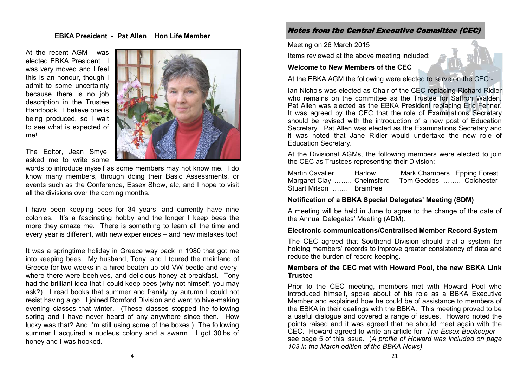#### **EBKA President - Pat Allen Hon Life Member**

At the recent AGM I was elected EBKA President. I was very moved and I feel this is an honour, though I admit to some uncertainty because there is no job description in the Trustee Handbook. I believe one is being produced, so I wait to see what is expected of me!



The Editor, Jean Smye, asked me to write some

words to introduce myself as some members may not know me. I do know many members, through doing their Basic Assessments, or events such as the Conference, Essex Show, etc, and I hope to visit all the divisions over the coming months.

I have been keeping bees for 34 years, and currently have nine colonies. It's a fascinating hobby and the longer I keep bees the more they amaze me. There is something to learn all the time and every year is different, with new experiences – and new mistakes too!

It was a springtime holiday in Greece way back in 1980 that got me into keeping bees. My husband, Tony, and I toured the mainland of Greece for two weeks in a hired beaten-up old VW beetle and everywhere there were beehives, and delicious honey at breakfast. Tony had the brilliant idea that I could keep bees (why not himself, you may ask?). I read books that summer and frankly by autumn I could not resist having a go. I joined Romford Division and went to hive-making evening classes that winter. (These classes stopped the following spring and I have never heard of any anywhere since then. How lucky was that? And I'm still using some of the boxes.) The following summer I acquired a nucleus colony and a swarm. I got 30lbs of honey and I was hooked.

#### Notes from the Central Executive Committee (CEC)

#### Meeting on 26 March 2015

Items reviewed at the above meeting included:

#### **Welcome to New Members of the CEC**

At the EBKA AGM the following were elected to serve on the CEC:-

Ian Nichols was elected as Chair of the CEC replacing Richard Ridler who remains on the committee as the Trustee for Saffron Walden. Pat Allen was elected as the EBKA President replacing Eric Fenner. It was agreed by the CEC that the role of Examinations Secretary should be revised with the introduction of a new post of Education Secretary. Pat Allen was elected as the Examinations Secretary and it was noted that Jane Ridler would undertake the new role of Education Secretary.

At the Divisional AGMs, the following members were elected to join the CEC as Trustees representing their Division:-

| Martin Cavalier  Harlow                          | Mark Chambers . Epping Forest |  |
|--------------------------------------------------|-------------------------------|--|
| Margaret Clay  Chelmsford Tom Geddes  Colchester |                               |  |
| Stuart Mitson  Braintree                         |                               |  |

#### **Notification of a BBKA Special Delegates' Meeting (SDM)**

A meeting will be held in June to agree to the change of the date of the Annual Delegates' Meeting (ADM)*.*

#### **Electronic communications/Centralised Member Record System**

The CEC agreed that Southend Division should trial a system for holding members' records to improve greater consistency of data and reduce the burden of record keeping.

#### **Members of the CEC met with Howard Pool, the new BBKA Link Trustee**

Prior to the CEC meeting, members met with Howard Pool who introduced himself, spoke about of his role as a BBKA Executive Member and explained how he could be of assistance to members of the EBKA in their dealings with the BBKA. This meeting proved to be a useful dialogue and covered a range of issues. Howard noted the points raised and it was agreed that he should meet again with the CEC. Howard agreed to write an article for *The Essex Beekeeper* see page 5 of this issue. (*A profile of Howard was included on page 103 in the March edition of the BBKA News).*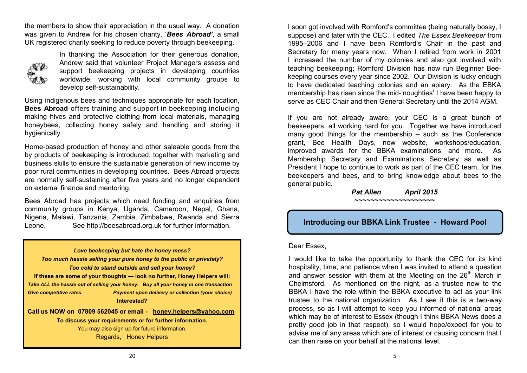the members to show their appreciation in the usual way. A donation was given to Andrew for his chosen charity, '*Bees Abroad'*, a small UK registered charity seeking to reduce poverty through beekeeping.



In thanking the Association for their generous donation, Andrew said that volunteer Project Managers assess and support beekeeping projects in developing countries worldwide, working with local community groups to develop self-sustainability.

Using indigenous bees and techniques appropriate for each location, **Bees Abroad** offers training and support in beekeeping including making hives and protective clothing from local materials, managing honeybees, collecting honey safely and handling and storing it hygienically.

Home-based production of honey and other saleable goods from the by products of beekeeping is introduced, together with marketing and business skills to ensure the sustainable generation of new income by poor rural communities in developing countries. Bees Abroad projects are normally self-sustaining after five years and no longer dependent on external finance and mentoring.

Bees Abroad has projects which need funding and enquiries from community groups in Kenya, Uganda, Cameroon, Nepal, Ghana, Nigeria, Malawi, Tanzania, Zambia, Zimbabwe, Rwanda and Sierra Leone. See http://beesabroad.org.uk for further information.

*Love beekeeping but hate the honey mess? Too much hassle selling your pure honey to the public or privately? Too cold to stand outside and sell your honey?* **If these are some of your thoughts — look no further, Honey Helpers will:** *Take ALL the hassle out of selling your honey. Buy all your honey in one transaction Give competitive rates. Payment upon delivery or collection (your choice)* **Interested? Call us NOW on 07809 562045 or email - [honey.helpers@yahoo.com](mailto:honey.helpers@yahoo.com) To discuss your requirements or for further information.** You may also sign up for future information.

Regards, Honey Helpers

I soon got involved with Romford's committee (being naturally bossy, I suppose) and later with the CEC. I edited *The Essex Beekeeper* from 1995–2006 and I have been Romford's Chair in the past and Secretary for many years now. When I retired from work in 2001 I increased the number of my colonies and also got involved with teaching beekeeping; Romford Division has now run Beginner Beekeeping courses every year since 2002. Our Division is lucky enough to have dedicated teaching colonies and an apiary. As the EBKA membership has risen since the mid-'noughties' I have been happy to serve as CEC Chair and then General Secretary until the 2014 AGM.

If you are not already aware, your CEC is a great bunch of beekeepers, all working hard for you. Together we have introduced many good things for the membership – such as the Conference grant, Bee Health Days, new website, workshops/education, improved awards for the BBKA examinations, and more. As Membership Secretary and Examinations Secretary as well as President I hope to continue to work as part of the CEC team, for the beekeepers and bees, and to bring knowledge about bees to the general public.

*Pat Allen April 2015 ~~~~~~~~~~~~~~~~~~~~*

#### **Introducing our BBKA Link Trustee - Howard Pool**

#### Dear Essex,

I would like to take the opportunity to thank the CEC for its kind hospitality, time, and patience when I was invited to attend a question and answer session with them at the Meeting on the  $26<sup>th</sup>$  March in Chelmsford. As mentioned on the night, as a trustee new to the BBKA I have the role within the BBKA executive to act as your link trustee to the national organization. As I see it this is a two-way process, so as I will attempt to keep you informed of national areas which may be of interest to Essex (though I think BBKA News does a pretty good job in that respect), so I would hope/expect for you to advise me of any areas which are of interest or causing concern that I can then raise on your behalf at the national level.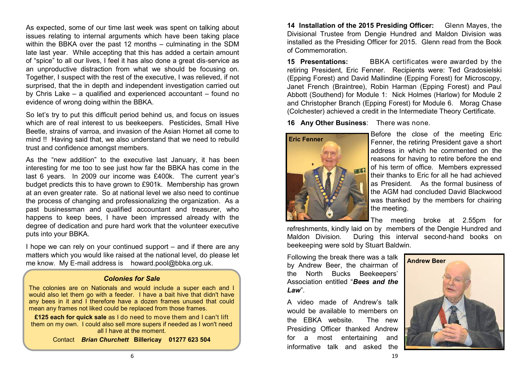As expected, some of our time last week was spent on talking about issues relating to internal arguments which have been taking place within the BBKA over the past 12 months – culminating in the SDM late last year. While accepting that this has added a certain amount of "spice" to all our lives, I feel it has also done a great dis-service as an unproductive distraction from what we should be focusing on. Together, I suspect with the rest of the executive, I was relieved, if not surprised, that the in depth and independent investigation carried out by Chris Lake – a qualified and experienced accountant – found no evidence of wrong doing within the BBKA.

So let's try to put this difficult period behind us, and focus on issues which are of real interest to us beekeepers. Pesticides, Small Hive Beetle, strains of varroa, and invasion of the Asian Hornet all come to mind !! Having said that, we also understand that we need to rebuild trust and confidence amongst members.

As the "new addition" to the executive last January, it has been interesting for me too to see just how far the BBKA has come in the last 6 years. In 2009 our income was £400k. The current year's budget predicts this to have grown to £901k. Membership has grown at an even greater rate. So at national level we also need to continue the process of changing and professionalizing the organization. As a past businessman and qualified accountant and treasurer, who happens to keep bees, I have been impressed already with the degree of dedication and pure hard work that the volunteer executive puts into your BBKA.

I hope we can rely on your continued support – and if there are any matters which you would like raised at the national level, do please let me know. My E-mail address is howard.pool@bbka.org.uk.

#### *Colonies for Sale*

The colonies are on Nationals and would include a super each and I would also let them go with a feeder. I have a bait hive that didn't have any bees in it and I therefore have a dozen frames unused that could mean any frames not liked could be replaced from those frames.

**£125 each for quick sale** as I do need to move them and I can't lift them on my own. I could also sell more supers if needed as I won't need all I have at the moment.

Contact*Brian Churchett* **Billericay 01277 623 504**

**14 Installation of the 2015 Presiding Officer:** Glenn Mayes, the Divisional Trustee from Dengie Hundred and Maldon Division was installed as the Presiding Officer for 2015. Glenn read from the Book of Commemoration.

**15 Presentations:** BBKA certificates were awarded by the retiring President, Eric Fenner. Recipients were: Ted Gradosielski (Epping Forest) and David Mallindine (Epping Forest) for Microscopy, Janet French (Braintree), Robin Harman (Epping Forest) and Paul Abbott (Southend) for Module 1: Nick Holmes (Harlow) for Module 2 and Christopher Branch (Epping Forest) for Module 6. Morag Chase (Colchester) achieved a credit in the Intermediate Theory Certificate.

**16 Any Other Business**: There was none.



Before the close of the meeting Eric Fenner, the retiring President gave a short address in which he commented on the reasons for having to retire before the end of his term of office. Members expressed their thanks to Eric for all he had achieved as President. As the formal business of the AGM had concluded David Blackwood was thanked by the members for chairing the meeting.

The meeting broke at 2.55pm for

refreshments, kindly laid on by members of the Dengie Hundred and Maldon Division. During this interval second-hand books on beekeeping were sold by Stuart Baldwin.

Following the break there was a talk by Andrew Beer, the chairman of the North Bucks Beekeepers' Association entitled "*Bees and the Law*".

A video made of Andrew's talk would be available to members on the EBKA website. The new Presiding Officer thanked Andrew for a most entertaining and informative talk and asked the

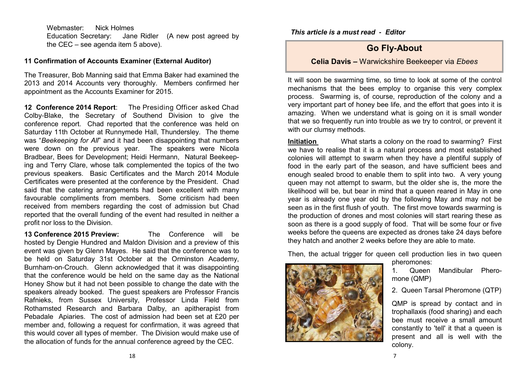Webmaster: Nick Holmes Education Secretary: Jane Ridler (A new post agreed by the CEC – see agenda item 5 above).

#### **11 Confirmation of Accounts Examiner (External Auditor)**

The Treasurer, Bob Manning said that Emma Baker had examined the 2013 and 2014 Accounts very thoroughly. Members confirmed her appointment as the Accounts Examiner for 2015.

**12 Conference 2014 Report**: The Presiding Officer asked Chad Colby-Blake, the Secretary of Southend Division to give the conference report. Chad reported that the conference was held on Saturday 11th October at Runnymede Hall, Thundersley. The theme was "*Beekeeping for All*" and it had been disappointing that numbers were down on the previous year. The speakers were Nicola Bradbear, Bees for Development; Heidi Hermann, Natural Beekeeping and Terry Clare, whose talk complemented the topics of the two previous speakers. Basic Certificates and the March 2014 Module Certificates were presented at the conference by the President. Chad said that the catering arrangements had been excellent with many favourable compliments from members. Some criticism had been received from members regarding the cost of admission but Chad reported that the overall funding of the event had resulted in neither a profit nor loss to the Division.

**13 Conference 2015 Preview:** The Conference will be hosted by Dengie Hundred and Maldon Division and a preview of this event was given by Glenn Mayes. He said that the conference was to be held on Saturday 31st October at the Orminston Academy, Burnham-on-Crouch. Glenn acknowledged that it was disappointing that the conference would be held on the same day as the National Honey Show but it had not been possible to change the date with the speakers already booked. The guest speakers are Professor Francis Rafnieks, from Sussex University, Professor Linda Field from Rothamsted Research and Barbara Dalby, an apitherapist from Pebadale Apiaries. The cost of admission had been set at £20 per member and, following a request for confirmation, it was agreed that this would cover all types of member. The Division would make use of the allocation of funds for the annual conference agreed by the CEC.

*This article is a must read* **-** *Editor* 

#### **Go Fly-About**

#### **Celia Davis –** Warwickshire Beekeeper via *Ebees*

It will soon be swarming time, so time to look at some of the control mechanisms that the bees employ to organise this very complex process. Swarming is, of course, reproduction of the colony and a very important part of honey bee life, and the effort that goes into it is amazing. When we understand what is going on it is small wonder that we so frequently run into trouble as we try to control, or prevent it with our clumsy methods.

**Initiation** What starts a colony on the road to swarming? First we have to realise that it is a natural process and most established colonies will attempt to swarm when they have a plentiful supply of food in the early part of the season, and have sufficient bees and enough sealed brood to enable them to split into two. A very young queen may not attempt to swarm, but the older she is, the more the likelihood will be, but bear in mind that a queen reared in May in one year is already one year old by the following May and may not be seen as in the first flush of youth. The first move towards swarming is the production of drones and most colonies will start rearing these as soon as there is a good supply of food. That will be some four or five weeks before the queens are expected as drones take 24 days before they hatch and another 2 weeks before they are able to mate.

Then, the actual trigger for queen cell production lies in two queen



pheromones:

1. Queen Mandibular Pheromone (QMP)

2. Queen Tarsal Pheromone (QTP)

QMP is spread by contact and in trophallaxis (food sharing) and each bee must receive a small amount constantly to 'tell' it that a queen is present and all is well with the colony.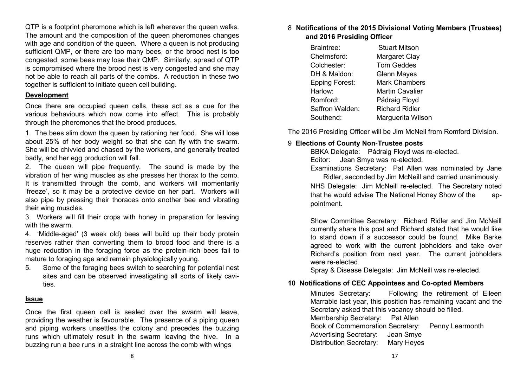QTP is a footprint pheromone which is left wherever the queen walks. The amount and the composition of the queen pheromones changes with age and condition of the queen. Where a queen is not producing sufficient QMP, or there are too many bees, or the brood nest is too congested, some bees may lose their QMP. Similarly, spread of QTP is compromised where the brood nest is very congested and she may not be able to reach all parts of the combs. A reduction in these two together is sufficient to initiate queen cell building.

#### **Development**

Once there are occupied queen cells, these act as a cue for the various behaviours which now come into effect. This is probably through the pheromones that the brood produces.

1. The bees slim down the queen by rationing her food. She will lose about 25% of her body weight so that she can fly with the swarm. She will be chivvied and chased by the workers, and generally treated badly, and her egg production will fall.

2. The queen will pipe frequently. The sound is made by the vibration of her wing muscles as she presses her thorax to the comb. It is transmitted through the comb, and workers will momentarily 'freeze', so it may be a protective device on her part. Workers will also pipe by pressing their thoraces onto another bee and vibrating their wing muscles.

3. Workers will fill their crops with honey in preparation for leaving with the swarm.

4. 'Middle-aged' (3 week old) bees will build up their body protein reserves rather than converting them to brood food and there is a huge reduction in the foraging force as the protein-rich bees fail to mature to foraging age and remain physiologically young.

5. Some of the foraging bees switch to searching for potential nest sites and can be observed investigating all sorts of likely cavities.

#### **Issue**

Once the first queen cell is sealed over the swarm will leave, providing the weather is favourable. The presence of a piping queen and piping workers unsettles the colony and precedes the buzzing runs which ultimately result in the swarm leaving the hive. In a buzzing run a bee runs in a straight line across the comb with wings

#### 8 **Notifications of the 2015 Divisional Voting Members (Trustees) and 2016 Presiding Officer**

| Braintree:            | <b>Stuart Mitson</b>   |  |  |
|-----------------------|------------------------|--|--|
| Chelmsford:           | Margaret Clay          |  |  |
| Colchester:           | <b>Tom Geddes</b>      |  |  |
| DH & Maldon:          | <b>Glenn Mayes</b>     |  |  |
| <b>Epping Forest:</b> | <b>Mark Chambers</b>   |  |  |
| Harlow:               | <b>Martin Cavalier</b> |  |  |
| Romford:              | Pádraig Floyd          |  |  |
| Saffron Walden:       | <b>Richard Ridler</b>  |  |  |
| Southend:             | Marguerita Wilson      |  |  |

The 2016 Presiding Officer will be Jim McNeil from Romford Division.

#### 9 **Elections of County Non-Trustee posts**

pointment.

BBKA Delegate: Pádraig Floyd was re-elected. Editor: Jean Smye was re-elected.

Examinations Secretary: Pat Allen was nominated by Jane Ridler, seconded by Jim McNeill and carried unanimously. NHS Delegate: Jim McNeill re-elected. The Secretary noted that he would advise The National Honey Show of the ap-

Show Committee Secretary: Richard Ridler and Jim McNeill currently share this post and Richard stated that he would like to stand down if a successor could be found. Mike Barke agreed to work with the current jobholders and take over Richard's position from next year. The current jobholders were re-elected.

Spray & Disease Delegate: Jim McNeill was re-elected.

#### **10 Notifications of CEC Appointees and Co-opted Members**

Minutes Secretary: Following the retirement of Eileen Marrable last year, this position has remaining vacant and the Secretary asked that this vacancy should be filled. Membership Secretary: Pat Allen Book of Commemoration Secretary: Penny Learmonth Advertising Secretary: Jean Smye Distribution Secretary: Mary Heyes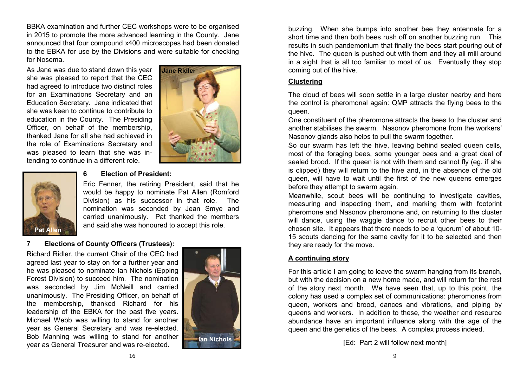BBKA examination and further CEC workshops were to be organised in 2015 to promote the more advanced learning in the County. Jane announced that four compound x400 microscopes had been donated to the EBKA for use by the Divisions and were suitable for checking for Nosema.

As Jane was due to stand down this year she was pleased to report that the CEC had agreed to introduce two distinct roles for an Examinations Secretary and an Education Secretary. Jane indicated that she was keen to continue to contribute to education in the County. The Presiding Officer, on behalf of the membership, thanked Jane for all she had achieved in the role of Examinations Secretary and was pleased to learn that she was intending to continue in a different role.





#### **6 Election of President:**

Eric Fenner, the retiring President, said that he would be happy to nominate Pat Allen (Romford Division) as his successor in that role. The nomination was seconded by Jean Smye and carried unanimously. Pat thanked the members and said she was honoured to accept this role.

#### **7 Elections of County Officers (Trustees):**

Richard Ridler, the current Chair of the CEC had agreed last year to stay on for a further year and he was pleased to nominate Ian Nichols (Epping Forest Division) to succeed him. The nomination was seconded by Jim McNeill and carried unanimously. The Presiding Officer, on behalf of the membership, thanked Richard for his leadership of the EBKA for the past five years. Michael Webb was willing to stand for another year as General Secretary and was re-elected. Bob Manning was willing to stand for another year as General Treasurer and was re-elected.



buzzing. When she bumps into another bee they antennate for a short time and then both bees rush off on another buzzing run. This results in such pandemonium that finally the bees start pouring out of the hive. The queen is pushed out with them and they all mill around in a sight that is all too familiar to most of us. Eventually they stop coming out of the hive.

#### **Clustering**

The cloud of bees will soon settle in a large cluster nearby and here the control is pheromonal again: QMP attracts the flying bees to the queen.

One constituent of the pheromone attracts the bees to the cluster and another stabilises the swarm. Nasonov pheromone from the workers' Nasonov glands also helps to pull the swarm together.

So our swarm has left the hive, leaving behind sealed queen cells, most of the foraging bees, some younger bees and a great deal of sealed brood. If the queen is not with them and cannot fly (eg. if she is clipped) they will return to the hive and, in the absence of the old queen, will have to wait until the first of the new queens emerges before they attempt to swarm again.

Meanwhile, scout bees will be continuing to investigate cavities, measuring and inspecting them, and marking them with footprint pheromone and Nasonov pheromone and, on returning to the cluster will dance, using the waggle dance to recruit other bees to their chosen site. It appears that there needs to be a 'quorum' of about 10- 15 scouts dancing for the same cavity for it to be selected and then they are ready for the move.

#### **A continuing story**

For this article I am going to leave the swarm hanging from its branch, but with the decision on a new home made, and will return for the rest of the story next month. We have seen that, up to this point, the colony has used a complex set of communications: pheromones from queen, workers and brood, dances and vibrations, and piping by queens and workers. In addition to these, the weather and resource abundance have an important influence along with the age of the queen and the genetics of the bees. A complex process indeed.

[Ed: Part 2 will follow next month]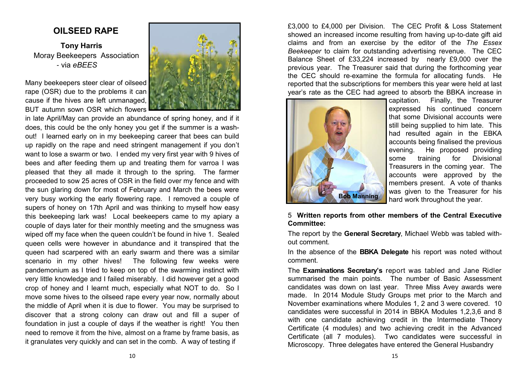#### **OILSEED RAPE**

**Tony Harris** Moray Beekeepers Association - via *eBEES* 

Many beekeepers steer clear of oilseed rape (OSR) due to the problems it can cause if the hives are left unmanaged, BUT autumn sown OSR which flowers

in late April/May can provide an abundance of spring honey, and if it does, this could be the only honey you get if the summer is a washout! I learned early on in my beekeeping career that bees can build up rapidly on the rape and need stringent management if you don't want to lose a swarm or two. I ended my very first year with 9 hives of bees and after feeding them up and treating them for varroa I was pleased that they all made it through to the spring. The farmer proceeded to sow 25 acres of OSR in the field over my fence and with the sun glaring down for most of February and March the bees were very busy working the early flowering rape. I removed a couple of supers of honey on 17th April and was thinking to myself how easy this beekeeping lark was! Local beekeepers came to my apiary a couple of days later for their monthly meeting and the smugness was wiped off my face when the queen couldn't be found in hive 1. Sealed queen cells were however in abundance and it transpired that the queen had scarpered with an early swarm and there was a similar scenario in my other hives! The following few weeks were pandemonium as I tried to keep on top of the swarming instinct with very little knowledge and I failed miserably. I did however get a good crop of honey and I learnt much, especially what NOT to do. So I move some hives to the oilseed rape every year now, normally about the middle of April when it is due to flower. You may be surprised to discover that a strong colony can draw out and fill a super of foundation in just a couple of days if the weather is right! You then need to remove it from the hive, almost on a frame by frame basis, as it granulates very quickly and can set in the comb. A way of testing if

£3,000 to £4,000 per Division. The CEC Profit & Loss Statement showed an increased income resulting from having up-to-date gift aid claims and from an exercise by the editor of the *The Essex Beekeeper* to claim for outstanding advertising revenue. The CEC Balance Sheet of £33,224 increased by nearly £9,000 over the previous year. The Treasurer said that during the forthcoming year the CEC should re-examine the formula for allocating funds. He reported that the subscriptions for members this year were held at last year's rate as the CEC had agreed to absorb the BBKA increase in



capitation. Finally, the Treasurer expressed his continued concern that some Divisional accounts were still being supplied to him late. This had resulted again in the EBKA accounts being finalised the previous evening. He proposed providing some training for Divisional Treasurers in the coming year. The accounts were approved by the members present. A vote of thanks was given to the Treasurer for his hard work throughout the year.

#### 5 **Written reports from other members of the Central Executive Committee:**

The report by the **General Secretary**, Michael Webb was tabled without comment.

In the absence of the **BBKA Delegate** his report was noted without comment.

The **Examinations Secretary's** report was tabled and Jane Ridler summarised the main points. The number of Basic Assessment candidates was down on last year. Three Miss Avey awards were made. In 2014 Module Study Groups met prior to the March and November examinations where Modules 1, 2 and 3 were covered. 10 candidates were successful in 2014 in BBKA Modules 1,2,3,6 and 8 with one candidate achieving credit in the Intermediate Theory Certificate (4 modules) and two achieving credit in the Advanced Certificate (all 7 modules). Two candidates were successful in Microscopy. Three delegates have entered the General Husbandry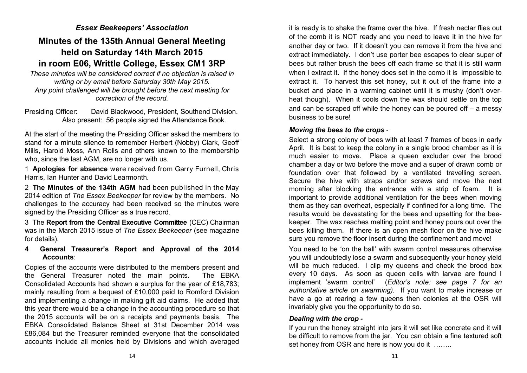#### *Essex Beekeepers' Association*

#### **Minutes of the 135th Annual General Meeting held on Saturday 14th March 2015 in room E06, Writtle College, Essex CM1 3RP**

*These minutes will be considered correct if no objection is raised in writing or by email before Saturday 30th May 2015. Any point challenged will be brought before the next meeting for correction of the record.* 

Presiding Officer: David Blackwood, President, Southend Division. Also present: 56 people signed the Attendance Book.

At the start of the meeting the Presiding Officer asked the members to stand for a minute silence to remember Herbert (Nobby) Clark, Geoff Mills, Harold Moss, Ann Rolls and others known to the membership who, since the last AGM, are no longer with us.

1 **Apologies for absence** were received from Garry Furnell, Chris Harris, Ian Hunter and David Learmonth.

2 **The Minutes of the 134th AGM** had been published in the May 2014 edition of *The Essex Beekeeper* for review by the members. No challenges to the accuracy had been received so the minutes were signed by the Presiding Officer as a true record.

3 The **Report from the Central Executive Committee** (CEC) Chairman was in the March 2015 issue of *The Essex Beekeeper* (see magazine for details).

#### **4 General Treasurer's Report and Approval of the 2014 Accounts**:

Copies of the accounts were distributed to the members present and the General Treasurer noted the main points. The EBKA Consolidated Accounts had shown a surplus for the year of £18,783; mainly resulting from a bequest of £10,000 paid to Romford Division and implementing a change in making gift aid claims. He added that this year there would be a change in the accounting procedure so that the 2015 accounts will be on a receipts and payments basis. The EBKA Consolidated Balance Sheet at 31st December 2014 was £86,084 but the Treasurer reminded everyone that the consolidated accounts include all monies held by Divisions and which averaged

it is ready is to shake the frame over the hive. If fresh nectar flies out of the comb it is NOT ready and you need to leave it in the hive for another day or two. If it doesn't you can remove it from the hive and extract immediately. I don't use porter bee escapes to clear super of bees but rather brush the bees off each frame so that it is still warm when I extract it. If the honey does set in the comb it is impossible to extract it. To harvest this set honey, cut it out of the frame into a bucket and place in a warming cabinet until it is mushy (don't overheat though). When it cools down the wax should settle on the top and can be scraped off while the honey can be poured off – a messy business to be sure!

#### *Moving the bees to the crops* -

Select a strong colony of bees with at least 7 frames of bees in early April. It is best to keep the colony in a single brood chamber as it is much easier to move. Place a queen excluder over the brood chamber a day or two before the move and a super of drawn comb or foundation over that followed by a ventilated travelling screen. Secure the hive with straps and/or screws and move the next morning after blocking the entrance with a strip of foam. It is important to provide additional ventilation for the bees when moving them as they can overheat, especially if confined for a long time. The results would be devastating for the bees and upsetting for the beekeeper. The wax reaches melting point and honey pours out over the bees killing them. If there is an open mesh floor on the hive make sure you remove the floor insert during the confinement and move!

You need to be 'on the ball' with swarm control measures otherwise you will undoubtedly lose a swarm and subsequently your honey yield will be much reduced. I clip my queens and check the brood box every 10 days. As soon as queen cells with larvae are found I implement 'swarm control' (*Editor's note: see page 7 for an authoritative article on swarming).* If you want to make increase or have a go at rearing a few queens then colonies at the OSR will invariably give you the opportunity to do so.

#### *Dealing with the crop* **-**

If you run the honey straight into jars it will set like concrete and it will be difficult to remove from the jar. You can obtain a fine textured soft set honey from OSR and here is how you do it …….